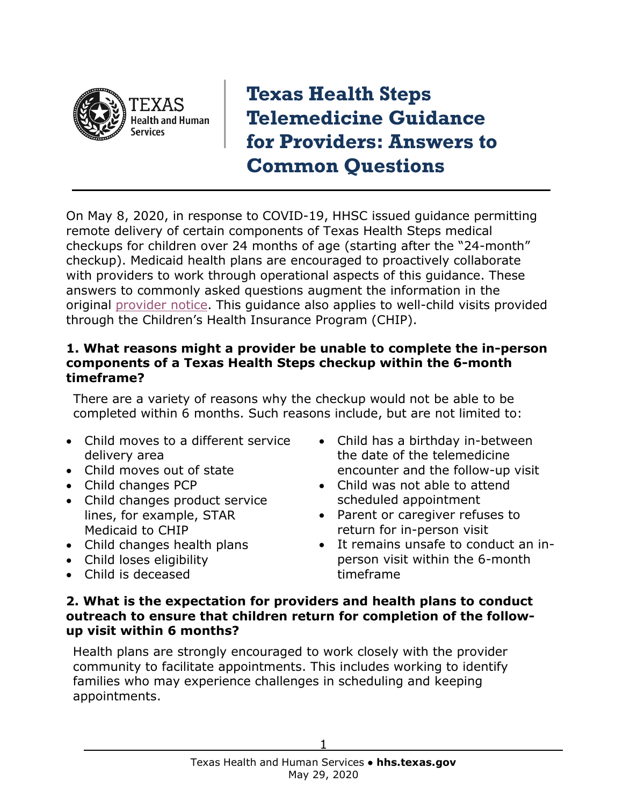

**Texas Health Steps Telemedicine Guidance for Providers: Answers to Common Questions**

On May 8, 2020, in response to COVID-19, HHSC issued guidance permitting remote delivery of certain components of Texas Health Steps medical checkups for children over 24 months of age (starting after the "24-month" checkup). Medicaid health plans are encouraged to proactively collaborate with providers to work through operational aspects of this guidance. These answers to commonly asked questions augment the information in the original [provider notice.](http://www.tmhp.com/News_Items/2020/05-May/05-12-20%20Texas%20Health%20Steps%20Checkups%20Guidance%20Eff%20May%207,%202020-May%2031,%202020.pdf) This guidance also applies to well-child visits provided through the Children's Health Insurance Program (CHIP).

#### **1. What reasons might a provider be unable to complete the in-person components of a Texas Health Steps checkup within the 6-month timeframe?**

There are a variety of reasons why the checkup would not be able to be completed within 6 months. Such reasons include, but are not limited to:

- Child moves to a different service delivery area
- Child moves out of state
- Child changes PCP
- Child changes product service lines, for example, STAR Medicaid to CHIP
- Child changes health plans
- Child loses eligibility
- Child is deceased
- Child has a birthday in-between the date of the telemedicine encounter and the follow-up visit
- Child was not able to attend scheduled appointment
- Parent or caregiver refuses to return for in-person visit
- It remains unsafe to conduct an inperson visit within the 6-month timeframe

#### **2. What is the expectation for providers and health plans to conduct outreach to ensure that children return for completion of the followup visit within 6 months?**

Health plans are strongly encouraged to work closely with the provider community to facilitate appointments. This includes working to identify families who may experience challenges in scheduling and keeping appointments.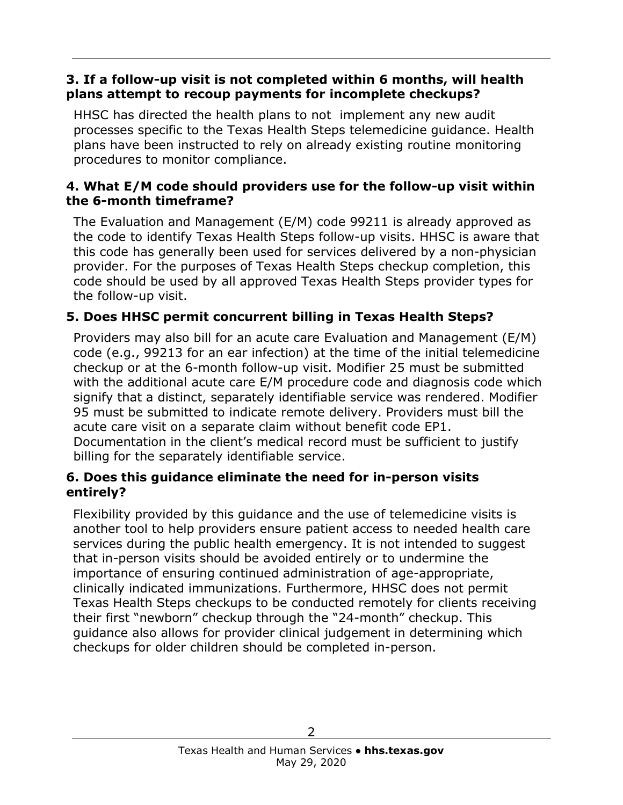### **3. If a follow-up visit is not completed within 6 months, will health plans attempt to recoup payments for incomplete checkups?**

HHSC has directed the health plans to not implement any new audit processes specific to the Texas Health Steps telemedicine guidance. Health plans have been instructed to rely on already existing routine monitoring procedures to monitor compliance.

### **4. What E/M code should providers use for the follow-up visit within the 6-month timeframe?**

The Evaluation and Management (E/M) code 99211 is already approved as the code to identify Texas Health Steps follow-up visits. HHSC is aware that this code has generally been used for services delivered by a non-physician provider. For the purposes of Texas Health Steps checkup completion, this code should be used by all approved Texas Health Steps provider types for the follow-up visit.

### **5. Does HHSC permit concurrent billing in Texas Health Steps?**

Providers may also bill for an acute care Evaluation and Management (E/M) code (e.g., 99213 for an ear infection) at the time of the initial telemedicine checkup or at the 6-month follow-up visit. Modifier 25 must be submitted with the additional acute care E/M procedure code and diagnosis code which signify that a distinct, separately identifiable service was rendered. Modifier 95 must be submitted to indicate remote delivery. Providers must bill the acute care visit on a separate claim without benefit code EP1. Documentation in the client's medical record must be sufficient to justify billing for the separately identifiable service.

### **6. Does this guidance eliminate the need for in-person visits entirely?**

Flexibility provided by this guidance and the use of telemedicine visits is another tool to help providers ensure patient access to needed health care services during the public health emergency. It is not intended to suggest that in-person visits should be avoided entirely or to undermine the importance of ensuring continued administration of age-appropriate, clinically indicated immunizations. Furthermore, HHSC does not permit Texas Health Steps checkups to be conducted remotely for clients receiving their first "newborn" checkup through the "24-month" checkup. This guidance also allows for provider clinical judgement in determining which checkups for older children should be completed in-person.